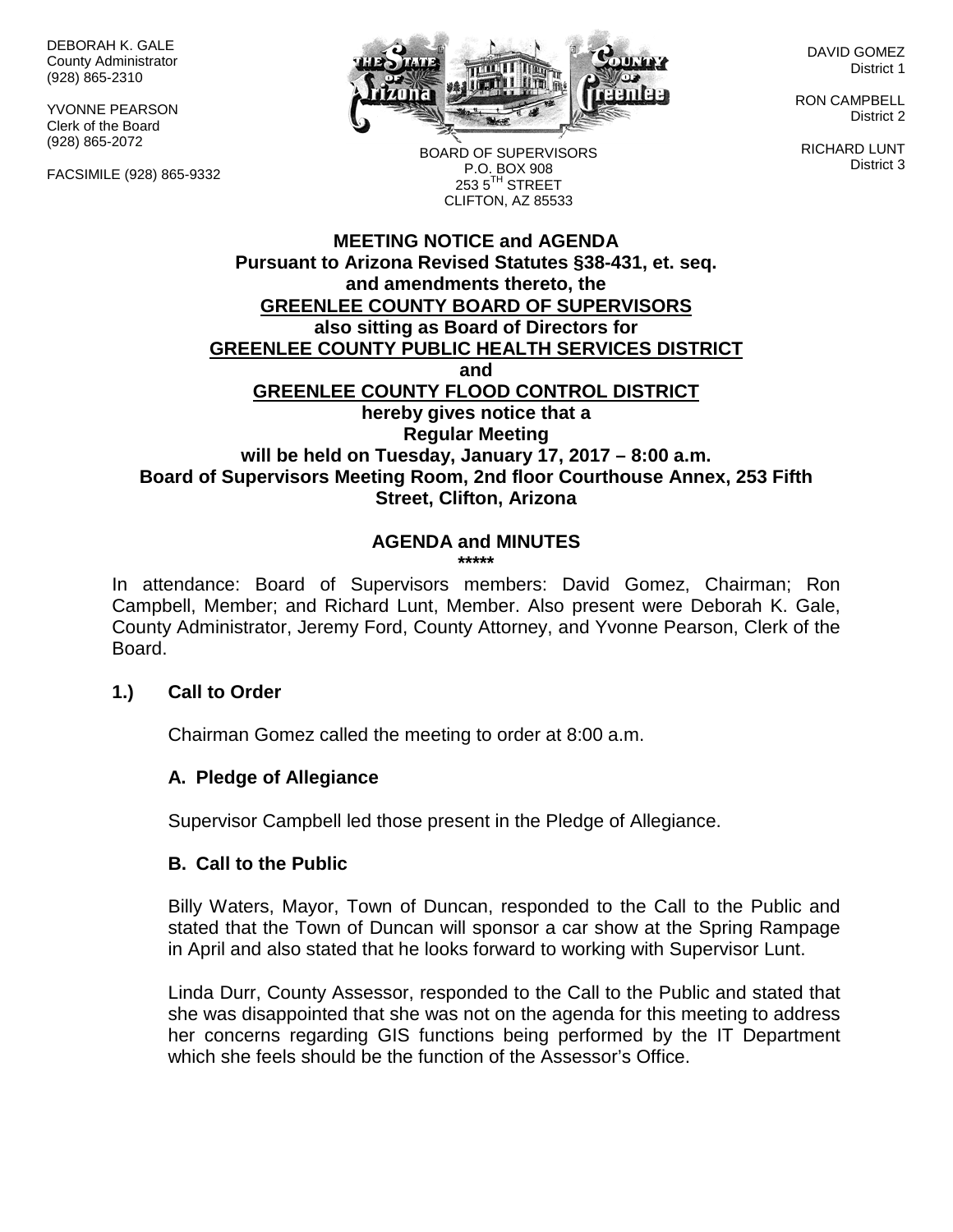DEBORAH K. GALE County Administrator (928) 865-2310

YVONNE PEARSON Clerk of the Board (928) 865-2072

FACSIMILE (928) 865-9332



DAVID GOMEZ District 1

RON CAMPBELL District 2

RICHARD LUNT District 3

BOARD OF SUPERVISORS P.O. BOX 908  $253.5$ <sup>TH</sup> STREET CLIFTON, AZ 85533

## **MEETING NOTICE and AGENDA Pursuant to Arizona Revised Statutes §38-431, et. seq. and amendments thereto, the GREENLEE COUNTY BOARD OF SUPERVISORS also sitting as Board of Directors for GREENLEE COUNTY PUBLIC HEALTH SERVICES DISTRICT and GREENLEE COUNTY FLOOD CONTROL DISTRICT hereby gives notice that a Regular Meeting will be held on Tuesday, January 17, 2017 – 8:00 a.m. Board of Supervisors Meeting Room, 2nd floor Courthouse Annex, 253 Fifth Street, Clifton, Arizona**

# **AGENDA and MINUTES**

**\*\*\*\*\***

In attendance: Board of Supervisors members: David Gomez, Chairman; Ron Campbell, Member; and Richard Lunt, Member. Also present were Deborah K. Gale, County Administrator, Jeremy Ford, County Attorney, and Yvonne Pearson, Clerk of the Board.

#### **1.) Call to Order**

Chairman Gomez called the meeting to order at 8:00 a.m.

## **A. Pledge of Allegiance**

Supervisor Campbell led those present in the Pledge of Allegiance.

#### **B. Call to the Public**

Billy Waters, Mayor, Town of Duncan, responded to the Call to the Public and stated that the Town of Duncan will sponsor a car show at the Spring Rampage in April and also stated that he looks forward to working with Supervisor Lunt.

Linda Durr, County Assessor, responded to the Call to the Public and stated that she was disappointed that she was not on the agenda for this meeting to address her concerns regarding GIS functions being performed by the IT Department which she feels should be the function of the Assessor's Office.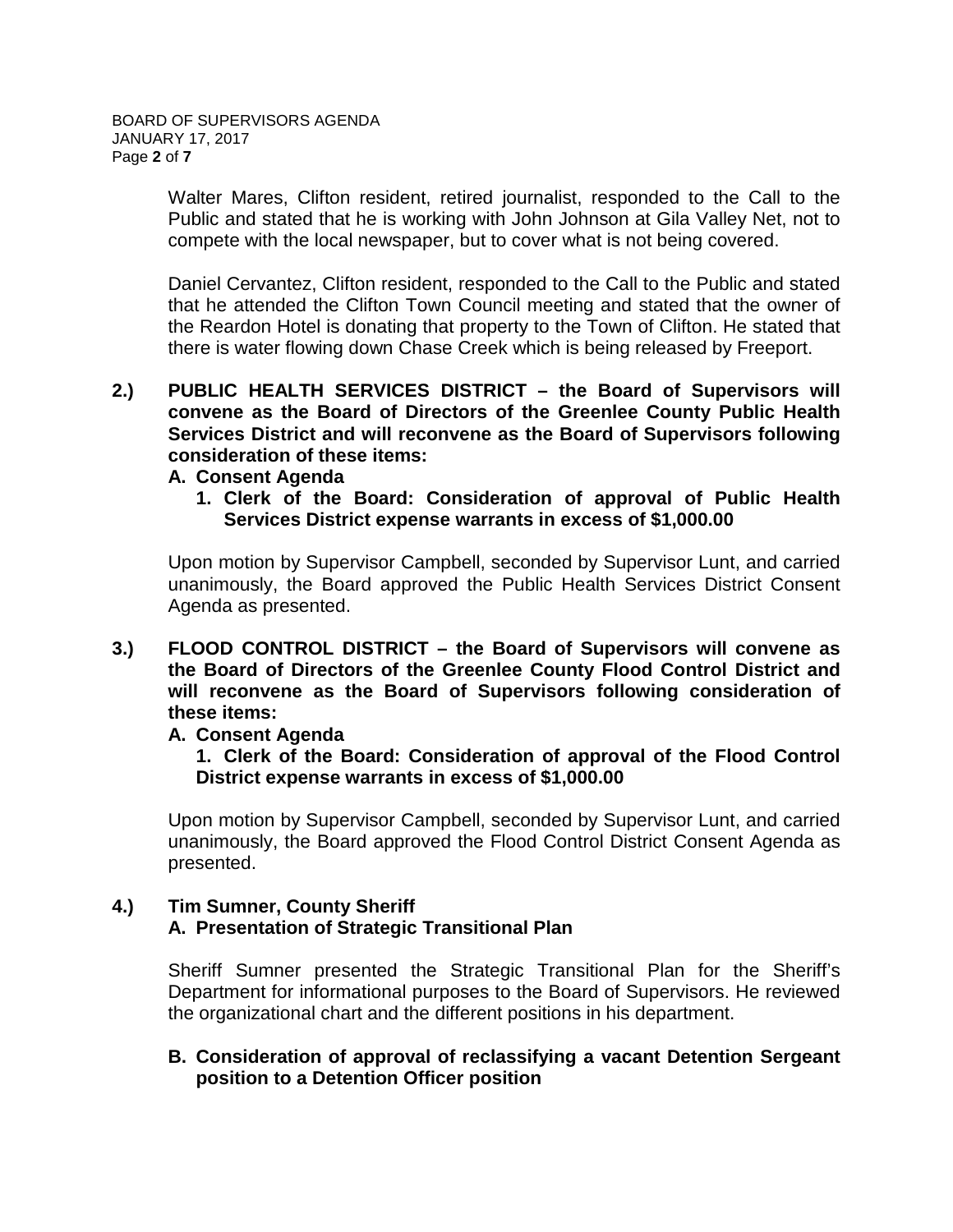Walter Mares, Clifton resident, retired journalist, responded to the Call to the Public and stated that he is working with John Johnson at Gila Valley Net, not to compete with the local newspaper, but to cover what is not being covered.

Daniel Cervantez, Clifton resident, responded to the Call to the Public and stated that he attended the Clifton Town Council meeting and stated that the owner of the Reardon Hotel is donating that property to the Town of Clifton. He stated that there is water flowing down Chase Creek which is being released by Freeport.

**2.) PUBLIC HEALTH SERVICES DISTRICT – the Board of Supervisors will convene as the Board of Directors of the Greenlee County Public Health Services District and will reconvene as the Board of Supervisors following consideration of these items:**

#### **A. Consent Agenda**

**1. Clerk of the Board: Consideration of approval of Public Health Services District expense warrants in excess of \$1,000.00**

Upon motion by Supervisor Campbell, seconded by Supervisor Lunt, and carried unanimously, the Board approved the Public Health Services District Consent Agenda as presented.

**3.) FLOOD CONTROL DISTRICT – the Board of Supervisors will convene as the Board of Directors of the Greenlee County Flood Control District and will reconvene as the Board of Supervisors following consideration of these items:**

## **A. Consent Agenda**

**1. Clerk of the Board: Consideration of approval of the Flood Control District expense warrants in excess of \$1,000.00**

Upon motion by Supervisor Campbell, seconded by Supervisor Lunt, and carried unanimously, the Board approved the Flood Control District Consent Agenda as presented.

# **4.) Tim Sumner, County Sheriff A. Presentation of Strategic Transitional Plan**

Sheriff Sumner presented the Strategic Transitional Plan for the Sheriff's Department for informational purposes to the Board of Supervisors. He reviewed the organizational chart and the different positions in his department.

## **B. Consideration of approval of reclassifying a vacant Detention Sergeant position to a Detention Officer position**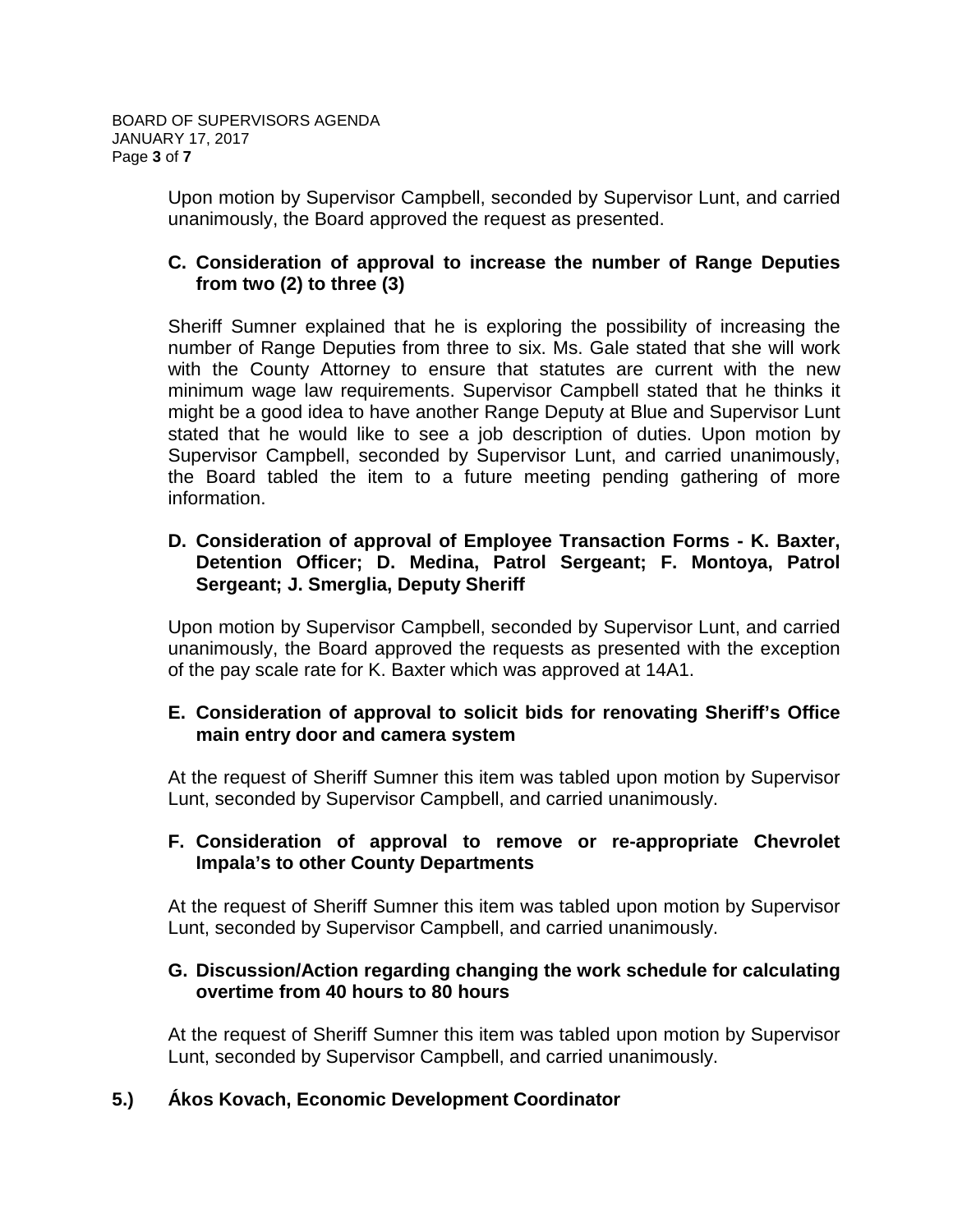Upon motion by Supervisor Campbell, seconded by Supervisor Lunt, and carried unanimously, the Board approved the request as presented.

# **C. Consideration of approval to increase the number of Range Deputies from two (2) to three (3)**

Sheriff Sumner explained that he is exploring the possibility of increasing the number of Range Deputies from three to six. Ms. Gale stated that she will work with the County Attorney to ensure that statutes are current with the new minimum wage law requirements. Supervisor Campbell stated that he thinks it might be a good idea to have another Range Deputy at Blue and Supervisor Lunt stated that he would like to see a job description of duties. Upon motion by Supervisor Campbell, seconded by Supervisor Lunt, and carried unanimously, the Board tabled the item to a future meeting pending gathering of more information.

# **D. Consideration of approval of Employee Transaction Forms - K. Baxter, Detention Officer; D. Medina, Patrol Sergeant; F. Montoya, Patrol Sergeant; J. Smerglia, Deputy Sheriff**

Upon motion by Supervisor Campbell, seconded by Supervisor Lunt, and carried unanimously, the Board approved the requests as presented with the exception of the pay scale rate for K. Baxter which was approved at 14A1.

## **E. Consideration of approval to solicit bids for renovating Sheriff's Office main entry door and camera system**

At the request of Sheriff Sumner this item was tabled upon motion by Supervisor Lunt, seconded by Supervisor Campbell, and carried unanimously.

## **F. Consideration of approval to remove or re-appropriate Chevrolet Impala's to other County Departments**

At the request of Sheriff Sumner this item was tabled upon motion by Supervisor Lunt, seconded by Supervisor Campbell, and carried unanimously.

# **G. Discussion/Action regarding changing the work schedule for calculating overtime from 40 hours to 80 hours**

At the request of Sheriff Sumner this item was tabled upon motion by Supervisor Lunt, seconded by Supervisor Campbell, and carried unanimously.

# **5.) Ákos Kovach, Economic Development Coordinator**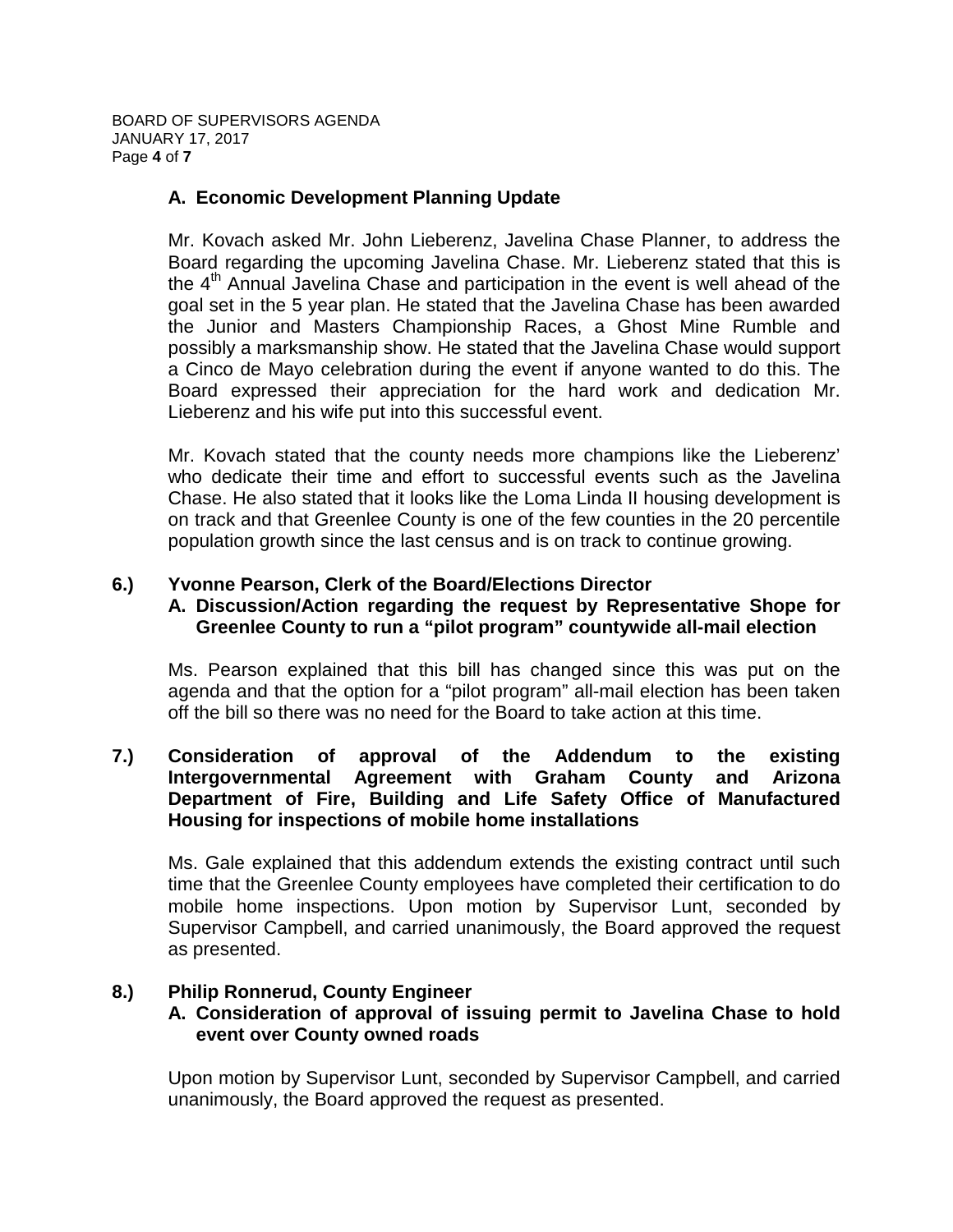BOARD OF SUPERVISORS AGENDA JANUARY 17, 2017 Page **4** of **7**

# **A. Economic Development Planning Update**

Mr. Kovach asked Mr. John Lieberenz, Javelina Chase Planner, to address the Board regarding the upcoming Javelina Chase. Mr. Lieberenz stated that this is the  $4<sup>th</sup>$  Annual Javelina Chase and participation in the event is well ahead of the goal set in the 5 year plan. He stated that the Javelina Chase has been awarded the Junior and Masters Championship Races, a Ghost Mine Rumble and possibly a marksmanship show. He stated that the Javelina Chase would support a Cinco de Mayo celebration during the event if anyone wanted to do this. The Board expressed their appreciation for the hard work and dedication Mr. Lieberenz and his wife put into this successful event.

Mr. Kovach stated that the county needs more champions like the Lieberenz' who dedicate their time and effort to successful events such as the Javelina Chase. He also stated that it looks like the Loma Linda II housing development is on track and that Greenlee County is one of the few counties in the 20 percentile population growth since the last census and is on track to continue growing.

# **6.) Yvonne Pearson, Clerk of the Board/Elections Director**

## **A. Discussion/Action regarding the request by Representative Shope for Greenlee County to run a "pilot program" countywide all-mail election**

Ms. Pearson explained that this bill has changed since this was put on the agenda and that the option for a "pilot program" all-mail election has been taken off the bill so there was no need for the Board to take action at this time.

## **7.) Consideration of approval of the Addendum to the existing Intergovernmental Agreement with Graham County and Arizona Department of Fire, Building and Life Safety Office of Manufactured Housing for inspections of mobile home installations**

Ms. Gale explained that this addendum extends the existing contract until such time that the Greenlee County employees have completed their certification to do mobile home inspections. Upon motion by Supervisor Lunt, seconded by Supervisor Campbell, and carried unanimously, the Board approved the request as presented.

## **8.) Philip Ronnerud, County Engineer**

## **A. Consideration of approval of issuing permit to Javelina Chase to hold event over County owned roads**

Upon motion by Supervisor Lunt, seconded by Supervisor Campbell, and carried unanimously, the Board approved the request as presented.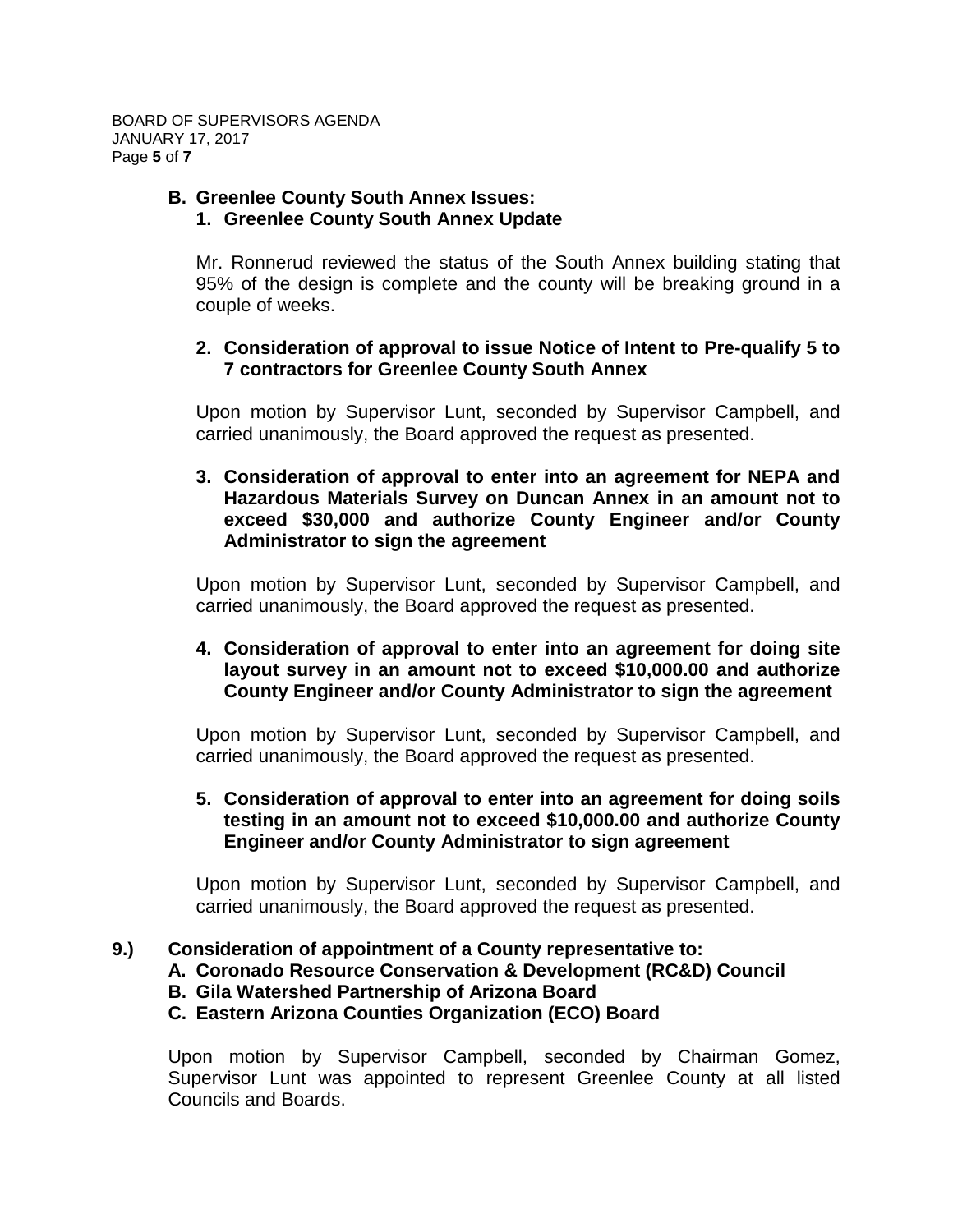#### **B. Greenlee County South Annex Issues: 1. Greenlee County South Annex Update**

Mr. Ronnerud reviewed the status of the South Annex building stating that 95% of the design is complete and the county will be breaking ground in a couple of weeks.

## **2. Consideration of approval to issue Notice of Intent to Pre-qualify 5 to 7 contractors for Greenlee County South Annex**

Upon motion by Supervisor Lunt, seconded by Supervisor Campbell, and carried unanimously, the Board approved the request as presented.

**3. Consideration of approval to enter into an agreement for NEPA and Hazardous Materials Survey on Duncan Annex in an amount not to exceed \$30,000 and authorize County Engineer and/or County Administrator to sign the agreement**

Upon motion by Supervisor Lunt, seconded by Supervisor Campbell, and carried unanimously, the Board approved the request as presented.

## **4. Consideration of approval to enter into an agreement for doing site layout survey in an amount not to exceed \$10,000.00 and authorize County Engineer and/or County Administrator to sign the agreement**

Upon motion by Supervisor Lunt, seconded by Supervisor Campbell, and carried unanimously, the Board approved the request as presented.

## **5. Consideration of approval to enter into an agreement for doing soils testing in an amount not to exceed \$10,000.00 and authorize County Engineer and/or County Administrator to sign agreement**

Upon motion by Supervisor Lunt, seconded by Supervisor Campbell, and carried unanimously, the Board approved the request as presented.

## **9.) Consideration of appointment of a County representative to:**

- **A. Coronado Resource Conservation & Development (RC&D) Council**
- **B. Gila Watershed Partnership of Arizona Board**

# **C. Eastern Arizona Counties Organization (ECO) Board**

Upon motion by Supervisor Campbell, seconded by Chairman Gomez, Supervisor Lunt was appointed to represent Greenlee County at all listed Councils and Boards.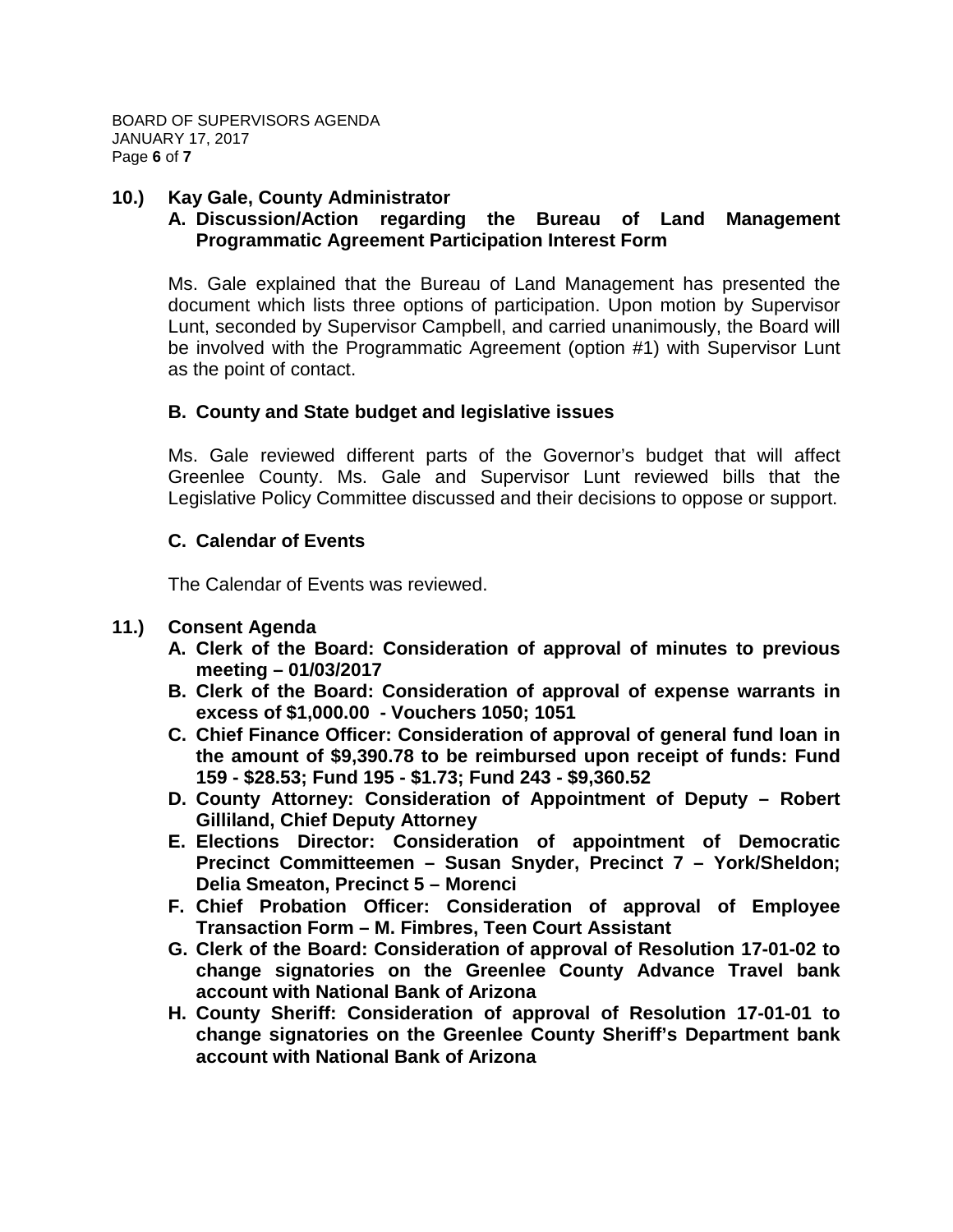#### **10.) Kay Gale, County Administrator**

## **A. Discussion/Action regarding the Bureau of Land Management Programmatic Agreement Participation Interest Form**

Ms. Gale explained that the Bureau of Land Management has presented the document which lists three options of participation. Upon motion by Supervisor Lunt, seconded by Supervisor Campbell, and carried unanimously, the Board will be involved with the Programmatic Agreement (option #1) with Supervisor Lunt as the point of contact.

#### **B. County and State budget and legislative issues**

Ms. Gale reviewed different parts of the Governor's budget that will affect Greenlee County. Ms. Gale and Supervisor Lunt reviewed bills that the Legislative Policy Committee discussed and their decisions to oppose or support.

#### **C. Calendar of Events**

The Calendar of Events was reviewed.

## **11.) Consent Agenda**

- **A. Clerk of the Board: Consideration of approval of minutes to previous meeting – 01/03/2017**
- **B. Clerk of the Board: Consideration of approval of expense warrants in excess of \$1,000.00 - Vouchers 1050; 1051**
- **C. Chief Finance Officer: Consideration of approval of general fund loan in the amount of \$9,390.78 to be reimbursed upon receipt of funds: Fund 159 - \$28.53; Fund 195 - \$1.73; Fund 243 - \$9,360.52**
- **D. County Attorney: Consideration of Appointment of Deputy – Robert Gilliland, Chief Deputy Attorney**
- **E. Elections Director: Consideration of appointment of Democratic Precinct Committeemen – Susan Snyder, Precinct 7 – York/Sheldon; Delia Smeaton, Precinct 5 – Morenci**
- **F. Chief Probation Officer: Consideration of approval of Employee Transaction Form – M. Fimbres, Teen Court Assistant**
- **G. Clerk of the Board: Consideration of approval of Resolution 17-01-02 to change signatories on the Greenlee County Advance Travel bank account with National Bank of Arizona**
- **H. County Sheriff: Consideration of approval of Resolution 17-01-01 to change signatories on the Greenlee County Sheriff's Department bank account with National Bank of Arizona**